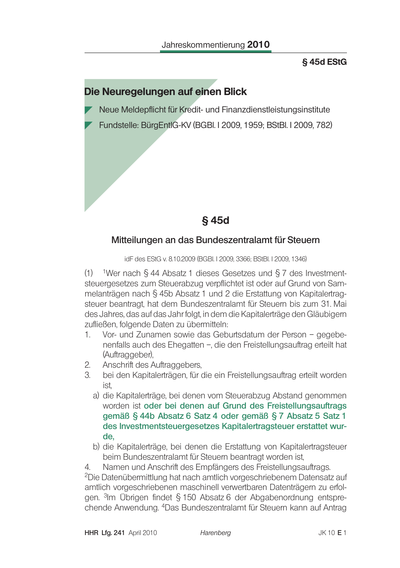### §45d EStG

## Die Neuregelungen auf einen Blick

Neue Meldepflicht für Kredit- und Finanzdienstleistungsinstitute

Fundstelle: BürgEntlG-KV (BGBI. I 2009, 1959; BStBI. I 2009, 782)

§45d

#### Mitteilungen an das Bundeszentralamt für Steuern

idF des EStG v. 8.10.2009 (BGBI. I 2009, 3366; BStBI. I 2009, 1346)

(1) <sup>1</sup>Wer nach § 44 Absatz 1 dieses Gesetzes und § 7 des Investmentsteuergesetzes zum Steuerabzug verpflichtet ist oder auf Grund von Sammelanträgen nach § 45b Absatz 1 und 2 die Erstattung von Kapitalertragsteuer beantragt, hat dem Bundeszentralamt für Steuern bis zum 31. Mai des Jahres, das auf das Jahr folgt, in dem die Kapitalerträge den Gläubigern zufließen, folgende Daten zu übermitteln:

- Vor- und Zunamen sowie das Geburtsdatum der Person gegebe-1. nenfalls auch des Ehegatten -, die den Freistellungsauftrag erteilt hat (Auftraggeber).
- Anschrift des Auftraggebers,  $2.$
- $\mathcal{S}$ bei den Kapitalerträgen, für die ein Freistellungsauftrag erteilt worden  $ist$ 
	- a) die Kapitalerträge, bei denen vom Steuerabzug Abstand genommen worden ist oder bei denen auf Grund des Freistellungsauftrags gemäß § 44b Absatz 6 Satz 4 oder gemäß § 7 Absatz 5 Satz 1 des Investmentsteuergesetzes Kapitalertragsteuer erstattet wurde.
	- b) die Kapitalerträge, bei denen die Erstattung von Kapitalertragsteuer beim Bundeszentralamt für Steuern beantragt worden ist,

Namen und Anschrift des Empfängers des Freistellungsauftrags.  $4<sup>1</sup>$ <sup>2</sup>Die Datenübermittlung hat nach amtlich vorgeschriebenem Datensatz auf amtlich vorgeschriebenen maschinell verwertbaren Datenträgern zu erfolgen. 3Im Übrigen findet § 150 Absatz 6 der Abgabenordnung entsprechende Anwendung. <sup>4</sup>Das Bundeszentralamt für Steuern kann auf Antrag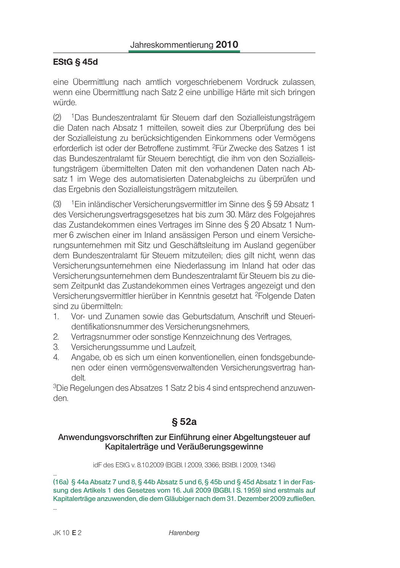### **EStG § 45d**

eine Übermittlung nach amtlich vorgeschriebenem Vordruck zulassen, wenn eine Übermittlung nach Satz 2 eine unbillige Härte mit sich bringen würde.

 $(2)$ <sup>1</sup>Das Bundeszentralamt für Steuern darf den Sozialleistungsträgern die Daten nach Absatz 1 mitteilen, soweit dies zur Überprüfung des bei der Sozialleistung zu berücksichtigenden Einkommens oder Vermögens erforderlich ist oder der Betroffene zustimmt. <sup>2</sup>Für Zwecke des Satzes 1 ist das Bundeszentralamt für Steuern berechtigt, die ihm von den Sozialleistungsträgern übermittelten Daten mit den vorhandenen Daten nach Absatz 1 im Wege des automatisierten Datenabgleichs zu überprüfen und das Ergebnis den Sozialleistungsträgern mitzuteilen.

 $(3)$ <sup>1</sup>Ein inländischer Versicherungsvermittler im Sinne des § 59 Absatz 1 des Versicherungsvertragsgesetzes hat bis zum 30. März des Folgejahres das Zustandekommen eines Vertrages im Sinne des § 20 Absatz 1 Nummer 6 zwischen einer im Inland ansässigen Person und einem Versicherungsunternehmen mit Sitz und Geschäftsleitung im Ausland gegenüber dem Bundeszentralamt für Steuern mitzuteilen; dies gilt nicht, wenn das Versicherungsunternehmen eine Niederlassung im Inland hat oder das Versicherungsunternehmen dem Bundeszentralamt für Steuern bis zu diesem Zeitpunkt das Zustandekommen eines Vertrages angezeigt und den Versicherungsvermittler hierüber in Kenntnis gesetzt hat. <sup>2</sup>Folgende Daten sind zu übermitteln:

- $\mathbf{1}$ Vor- und Zunamen sowie das Geburtsdatum. Anschrift und Steueridentifikationsnummer des Versicherungsnehmers.
- $\overline{2}$ . Vertragsnummer oder sonstige Kennzeichnung des Vertrages,
- $\mathcal{S}$ Versicherungssumme und Laufzeit,
- Angabe, ob es sich um einen konventionellen, einen fondsgebunde-4. nen oder einen vermögensverwaltenden Versicherungsvertrag handelt.

<sup>3</sup>Die Regelungen des Absatzes 1 Satz 2 bis 4 sind entsprechend anzuwenden.

# $§ 52a$

#### Anwendungsvorschriften zur Einführung einer Abgeltungsteuer auf Kapitalerträge und Veräußerungsgewinne

idF des EStG v. 8.10.2009 (BGBI. I 2009, 3366; BStBI. I 2009, 1346)

(16a) § 44a Absatz 7 und 8, § 44b Absatz 5 und 6, § 45b und § 45d Absatz 1 in der Fassung des Artikels 1 des Gesetzes vom 16. Juli 2009 (BGBI. I S. 1959) sind erstmals auf Kapitalerträge anzuwenden, die dem Gläubiger nach dem 31. Dezember 2009 zufließen.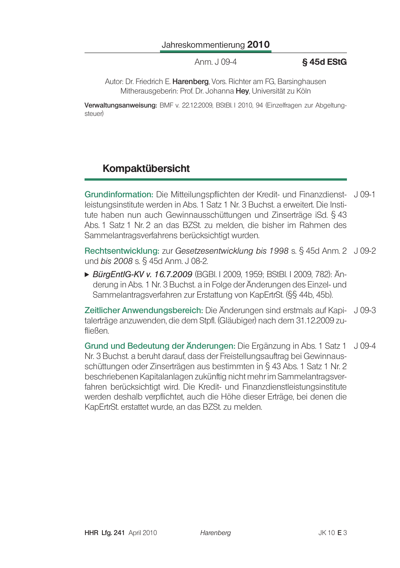Anm. J 09-4

#### §45d EStG

Autor: Dr. Friedrich E. Harenberg, Vors. Richter am FG, Barsinghausen Mitherausgeberin: Prof. Dr. Johanna Hey, Universität zu Köln

Verwaltungsanweisung: BMF v. 22.12.2009, BStBl. I 2010, 94 (Einzelfragen zur Abgeltungsteuer)

# Kompaktübersicht

Grundinformation: Die Mitteilungspflichten der Kredit- und Finanzdienst- J 09-1 leistungsinstitute werden in Abs. 1 Satz 1 Nr. 3 Buchst. a erweitert. Die Institute haben nun auch Gewinnausschüttungen und Zinserträge iSd. § 43 Abs. 1 Satz 1 Nr. 2 an das BZSt. zu melden, die bisher im Rahmen des Sammelantragsverfahrens berücksichtigt wurden.

Rechtsentwicklung: zur Gesetzesentwicklung bis 1998 s. § 45d Anm. 2 J 09-2 und *bis 2008 s. § 45d Anm. J 08-2.* 

▶ BürgEntlG-KV v. 16.7.2009 (BGBI. I 2009, 1959; BStBI. I 2009, 782): Änderung in Abs. 1 Nr. 3 Buchst. a in Folge der Änderungen des Einzel- und Sammelantragsverfahren zur Erstattung von KapErtrSt. (§§ 44b, 45b).

Zeitlicher Anwendungsbereich: Die Änderungen sind erstmals auf Kapi- J 09-3 talerträge anzuwenden, die dem Stpfl. (Gläubiger) nach dem 31.12.2009 zufließen.

Grund und Bedeutung der Änderungen: Die Ergänzung in Abs. 1 Satz 1  $J$  09-4 Nr. 3 Buchst, a beruht darauf, dass der Freistellungsauftrag bei Gewinnausschüttungen oder Zinserträgen aus bestimmten in § 43 Abs. 1 Satz 1 Nr. 2 beschriebenen Kapitalanlagen zukünftig nicht mehr im Sammelantragsverfahren berücksichtigt wird. Die Kredit- und Finanzdienstleistungsinstitute werden deshalb verpflichtet, auch die Höhe dieser Erträge, bei denen die KapErtrSt. erstattet wurde, an das BZSt. zu melden.